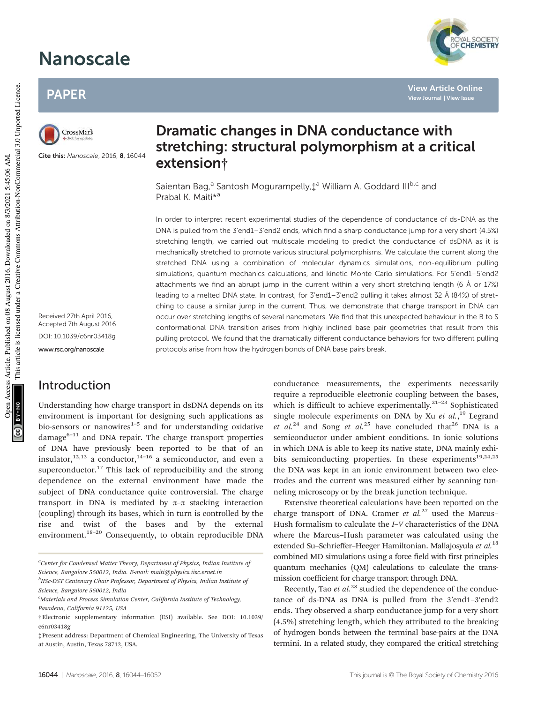# Nanoscale

### PAPER



Cite this: Nanoscale, 2016, 8, 16044

Received 27th April 2016, Accepted 7th August 2016 DOI: 10.1039/c6nr03418g

www.rsc.org/nanoscale

#### Introduction

Understanding how charge transport in dsDNA depends on its environment is important for designing such applications as bio-sensors or nanowires $1-5$  and for understanding oxidative damage $6-11$  and DNA repair. The charge transport properties of DNA have previously been reported to be that of an insulator,<sup>12,13</sup> a conductor,<sup>14-16</sup> a semiconductor, and even a superconductor.<sup>17</sup> This lack of reproducibility and the strong dependence on the external environment have made the subject of DNA conductance quite controversial. The charge transport in DNA is mediated by  $\pi-\pi$  stacking interaction (coupling) through its bases, which in turn is controlled by the rise and twist of the bases and by the external environment.<sup>18-20</sup> Consequently, to obtain reproducible DNA

*b IISc-DST Centenary Chair Professor, Department of Physics, Indian Institute of Science, Bangalore 560012, India*

## Dramatic changes in DNA conductance with stretching: structural polymorphism at a critical extension†

Saientan Bag,<sup>a</sup> Santosh Mogurampelly,‡<sup>a</sup> William A. Goddard III<sup>b,c</sup> and Prabal K. Maiti\*<sup>a</sup>

In order to interpret recent experimental studies of the dependence of conductance of ds-DNA as the DNA is pulled from the 3'end1–3'end2 ends, which find a sharp conductance jump for a very short (4.5%) stretching length, we carried out multiscale modeling to predict the conductance of dsDNA as it is mechanically stretched to promote various structural polymorphisms. We calculate the current along the stretched DNA using a combination of molecular dynamics simulations, non-equilibrium pulling simulations, quantum mechanics calculations, and kinetic Monte Carlo simulations. For 5'end1–5'end2 attachments we find an abrupt jump in the current within a very short stretching length (6 Å or 17%) leading to a melted DNA state. In contrast, for 3'end1–3'end2 pulling it takes almost 32 Å (84%) of stretching to cause a similar jump in the current. Thus, we demonstrate that charge transport in DNA can occur over stretching lengths of several nanometers. We find that this unexpected behaviour in the B to S conformational DNA transition arises from highly inclined base pair geometries that result from this pulling protocol. We found that the dramatically different conductance behaviors for two different pulling protocols arise from how the hydrogen bonds of DNA base pairs break.

> conductance measurements, the experiments necessarily require a reproducible electronic coupling between the bases, which is difficult to achieve experimentally.<sup>21-23</sup> Sophisticated single molecule experiments on DNA by Xu *et al.*, <sup>19</sup> Legrand *et al.*<sup>24</sup> and Song *et al.*<sup>25</sup> have concluded that<sup>26</sup> DNA is a semiconductor under ambient conditions. In ionic solutions in which DNA is able to keep its native state, DNA mainly exhibits semiconducting properties. In these experiments<sup>19,24,25</sup> the DNA was kept in an ionic environment between two electrodes and the current was measured either by scanning tunneling microscopy or by the break junction technique.

> Extensive theoretical calculations have been reported on the charge transport of DNA. Cramer *et al.*<sup>27</sup> used the Marcus– Hush formalism to calculate the *I*–*V* characteristics of the DNA where the Marcus–Hush parameter was calculated using the extended Su–Schrieffer–Heeger Hamiltonian. Mallajosyula *et al.*<sup>18</sup> combined MD simulations using a force field with first principles quantum mechanics (QM) calculations to calculate the transmission coefficient for charge transport through DNA.

> Recently, Tao *et al.*<sup>28</sup> studied the dependence of the conductance of ds-DNA as DNA is pulled from the 3′end1–3′end2 ends. They observed a sharp conductance jump for a very short (4.5%) stretching length, which they attributed to the breaking of hydrogen bonds between the terminal base-pairs at the DNA termini. In a related study, they compared the critical stretching

**View Journal | View Issue**

*<sup>a</sup>Center for Condensed Matter Theory, Department of Physics, Indian Institute of Science, Bangalore 560012, India. E-mail: maiti@physics.iisc.ernet.in*

*<sup>c</sup>Materials and Process Simulation Center, California Institute of Technology, Pasadena, California 91125, USA*

<sup>†</sup>Electronic supplementary information (ESI) available. See DOI: 10.1039/ c6nr03418g

<sup>‡</sup>Present address: Department of Chemical Engineering, The University of Texas at Austin, Austin, Texas 78712, USA.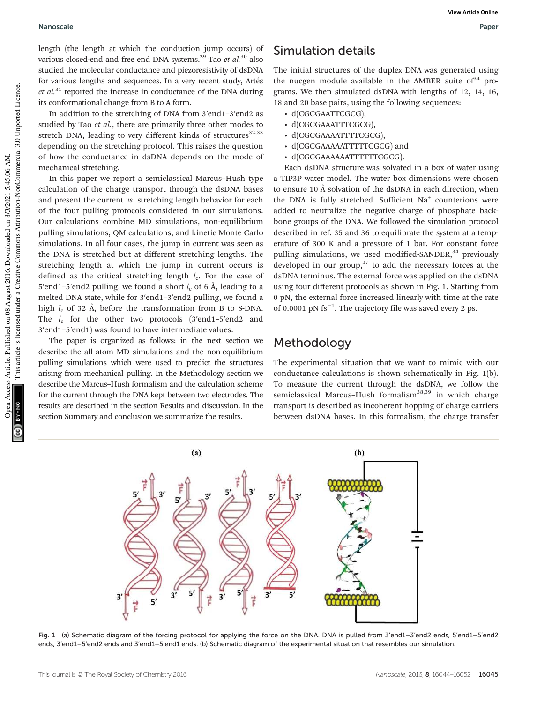#### Nanoscale Paper

length (the length at which the conduction jump occurs) of various closed-end and free end DNA systems.<sup>29</sup> Tao *et al.*<sup>30</sup> also studied the molecular conductance and piezoresistivity of dsDNA for various lengths and sequences. In a very recent study, Artés *et al.*<sup>31</sup> reported the increase in conductance of the DNA during its conformational change from B to A form.

In addition to the stretching of DNA from 3′end1–3′end2 as studied by Tao *et al.*, there are primarily three other modes to stretch DNA, leading to very different kinds of structures $32,33$ depending on the stretching protocol. This raises the question of how the conductance in dsDNA depends on the mode of mechanical stretching.

In this paper we report a semiclassical Marcus–Hush type calculation of the charge transport through the dsDNA bases and present the current *vs*. stretching length behavior for each of the four pulling protocols considered in our simulations. Our calculations combine MD simulations, non-equilibrium pulling simulations, QM calculations, and kinetic Monte Carlo simulations. In all four cases, the jump in current was seen as the DNA is stretched but at different stretching lengths. The stretching length at which the jump in current occurs is defined as the critical stretching length *l*<sub>c</sub>. For the case of 5'end1–5'end2 pulling, we found a short  $l_c$  of 6 Å, leading to a melted DNA state, while for 3′end1–3′end2 pulling, we found a high *l<sub>c</sub>* of 32 Å, before the transformation from B to S-DNA. The  $l_c$  for the other two protocols (3'end1-5'end2 and 3′end1–5′end1) was found to have intermediate values.

The paper is organized as follows: in the next section we describe the all atom MD simulations and the non-equilibrium pulling simulations which were used to predict the structures arising from mechanical pulling. In the Methodology section we describe the Marcus–Hush formalism and the calculation scheme for the current through the DNA kept between two electrodes. The results are described in the section Results and discussion. In the section Summary and conclusion we summarize the results.

### Simulation details

The initial structures of the duplex DNA was generated using the nucgen module available in the AMBER suite of  $34$  programs. We then simulated dsDNA with lengths of 12, 14, 16, 18 and 20 base pairs, using the following sequences:

- d(CGCGAATTCGCG),
- d(CGCGAAATTTCGCG),
- d(CGCGAAAATTTTCGCG),
- d(CGCGAAAAATTTTTCGCG) and
- d(CGCGAAAAAATTTTTTCGCG).

Each dsDNA structure was solvated in a box of water using a TIP3P water model. The water box dimensions were chosen to ensure 10 Å solvation of the dsDNA in each direction, when the DNA is fully stretched. Sufficient Na<sup>+</sup> counterions were added to neutralize the negative charge of phosphate backbone groups of the DNA. We followed the simulation protocol described in ref. 35 and 36 to equilibrate the system at a temperature of 300 K and a pressure of 1 bar. For constant force pulling simulations, we used modified-SANDER, $34$  previously developed in our group, $37$  to add the necessary forces at the dsDNA terminus. The external force was applied on the dsDNA using four different protocols as shown in Fig. 1. Starting from 0 pN, the external force increased linearly with time at the rate of 0.0001 pN fs−<sup>1</sup> . The trajectory file was saved every 2 ps.

#### Methodology

The experimental situation that we want to mimic with our conductance calculations is shown schematically in Fig. 1(b). To measure the current through the dsDNA, we follow the semiclassical Marcus-Hush formalism<sup>38,39</sup> in which charge transport is described as incoherent hopping of charge carriers between dsDNA bases. In this formalism, the charge transfer



Fig. 1 (a) Schematic diagram of the forcing protocol for applying the force on the DNA. DNA is pulled from 3'end1–3'end2 ends, 5'end1–5'end2 ends, 3'end1–5'end2 ends and 3'end1–5'end1 ends. (b) Schematic diagram of the experimental situation that resembles our simulation.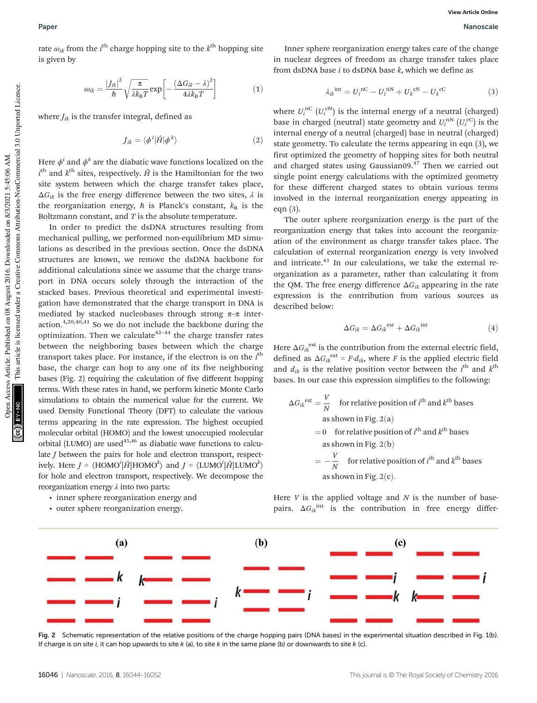rate  $\omega_{ik}$  from the  $i^{\text{th}}$  charge hopping site to the  $k^{\text{th}}$  hopping site is given by

$$
\omega_{ik} = \frac{|J_{ik}|^2}{\hbar} \sqrt{\frac{\pi}{\lambda k_B T}} \exp\left[-\frac{(\Delta G_{ik} - \lambda)^2}{4\lambda k_B T}\right]
$$
(1)

where  $J_{ik}$  is the transfer integral, defined as

$$
J_{ik} = \langle \phi^i | \hat{H} | \phi^k \rangle \tag{2}
$$

Here  $\phi^i$  and  $\phi^k$  are the diabatic wave functions localized on the  $i^{\text{th}}$  and  $k^{\text{th}}$  sites, respectively.  $\hat{H}$  is the Hamiltonian for the two site system between which the charge transfer takes place,  $\Delta G_{ik}$  is the free energy difference between the two sites,  $\lambda$  is the reorganization energy,  $\hbar$  is Planck's constant,  $k_B$  is the Boltzmann constant, and *T* is the absolute temperature.

In order to predict the dsDNA structures resulting from mechanical pulling, we performed non-equilibrium MD simulations as described in the previous section. Once the dsDNA structures are known, we remove the dsDNA backbone for additional calculations since we assume that the charge transport in DNA occurs solely through the interaction of the stacked bases. Previous theoretical and experimental investigation have demonstrated that the charge transport in DNA is mediated by stacked nucleobases through strong  $\pi-\pi$  interaction.4,20,40,41 So we do not include the backbone during the optimization. Then we calculate  $42-44$  the charge transfer rates between the neighboring bases between which the charge transport takes place. For instance, if the electron is on the *i*<sup>th</sup> base, the charge can hop to any one of its five neighboring bases (Fig. 2) requiring the calculation of five different hopping terms. With these rates in hand, we perform kinetic Monte Carlo simulations to obtain the numerical value for the current. We used Density Functional Theory (DFT) to calculate the various terms appearing in the rate expression. The highest occupied molecular orbital (HOMO) and the lowest unoccupied molecular orbital (LUMO) are used $45,46$  as diabatic wave functions to calculate *J* between the pairs for hole and electron transport, respectively. Here  $J = \langle \text{HOMO}^i | \hat{H} | \text{HOMO}^k \rangle$  and  $J = \langle \text{LUMO}^i | \hat{H} | \text{LUMO}^k \rangle$ for hole and electron transport, respectively. We decompose the reorganization energy λ into two parts:

- inner sphere reorganization energy and
- outer sphere reorganization energy.

Inner sphere reorganization energy takes care of the change in nuclear degrees of freedom as charge transfer takes place from dsDNA base *i* to dsDNA base *k*, which we define as

$$
\lambda_{ik}^{\text{int}} = U_i^{\text{nC}} - U_i^{\text{nN}} + U_k^{\text{cN}} - U_k^{\text{cC}}
$$
 (3)

where  $U_i^{\text{nC}}\left(U_i^{\text{cN}}\right)$  is the internal energy of a neutral (charged) base in charged (neutral) state geometry and  $U_i^{N}$  ( $U_i^{c}$ ) is the internal energy of a neutral (charged) base in neutral (charged) state geometry. To calculate the terms appearing in eqn (3), we first optimized the geometry of hopping sites for both neutral and charged states using Gaussian09.<sup>47</sup> Then we carried out single point energy calculations with the optimized geometry for these different charged states to obtain various terms involved in the internal reorganization energy appearing in eqn (3).

The outer sphere reorganization energy is the part of the reorganization energy that takes into account the reorganization of the environment as charge transfer takes place. The calculation of external reorganization energy is very involved and intricate.<sup>43</sup> In our calculations, we take the external reorganization as a parameter, rather than calculating it from the QM. The free energy difference Δ*Gik* appearing in the rate expression is the contribution from various sources as described below:

$$
\Delta G_{ik} = \Delta G_{ik}^{\text{ext}} + \Delta G_{ik}^{\text{int}} \tag{4}
$$

Here  $\Delta G_{ik}^{\text{ext}}$  is the contribution from the external electric field, defined as  $\Delta G_{ik}^{ext} = F \cdot d_{ik}$ , where *F* is the applied electric field and  $d_{ik}$  is the relative position vector between the  $i^{\text{th}}$  and  $k^{\text{th}}$ bases. In our case this expression simplifies to the following:

$$
\Delta G_{ik}^{ext} = \frac{V}{N}
$$
 for relative position of *t*<sup>th</sup> and *k*<sup>th</sup> bases  
as shown in Fig. 2(a)  
= 0 for relative position of *t*<sup>th</sup> and *k*<sup>th</sup> bases  
as shown in Fig. 2(b)  
=  $-\frac{V}{N}$  for relative position of *t*<sup>th</sup> and *k*<sup>th</sup> bases  
as shown in Fig. 2(c).

Here *V* is the applied voltage and *N* is the number of basepairs.  $\Delta G_{ik}$ <sup>int</sup> is the contribution in free energy differ-



Fig. 2 Schematic representation of the relative positions of the charge hopping pairs (DNA bases) in the experimental situation described in Fig. 1(b). If charge is on site i, it can hop upwards to site  $k$  (a), to site  $k$  in the same plane (b) or downwards to site  $k$  (c).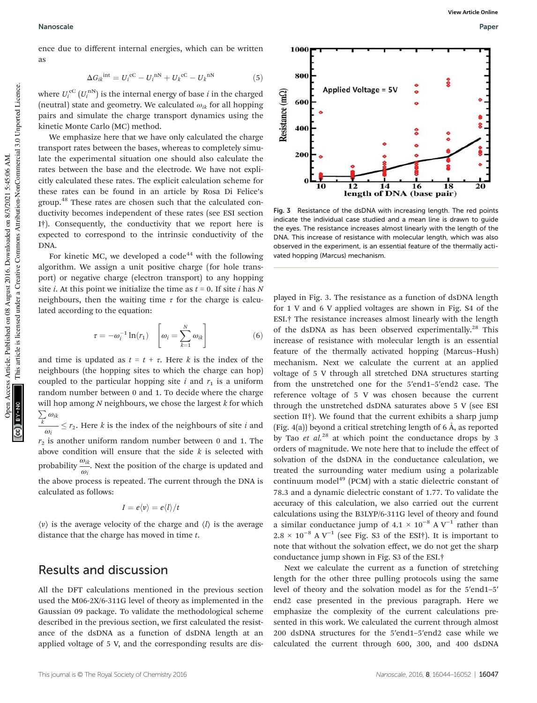ence due to different internal energies, which can be written as

$$
\Delta G_{ik}^{\text{int}} = U_i^{\text{cC}} - U_i^{\text{nN}} + U_k^{\text{cC}} - U_k^{\text{nN}}
$$
(5)

where  $U_i^{\text{cC}}\left(U_i^{\text{nN}}\right)$  is the internal energy of base *i* in the charged (neutral) state and geometry. We calculated  $\omega_{ik}$  for all hopping pairs and simulate the charge transport dynamics using the kinetic Monte Carlo (MC) method.

We emphasize here that we have only calculated the charge transport rates between the bases, whereas to completely simulate the experimental situation one should also calculate the rates between the base and the electrode. We have not explicitly calculated these rates. The explicit calculation scheme for these rates can be found in an article by Rosa Di Felice's group.<sup>48</sup> These rates are chosen such that the calculated conductivity becomes independent of these rates (see ESI section I†). Consequently, the conductivity that we report here is expected to correspond to the intrinsic conductivity of the DNA.

For kinetic MC, we developed a code<sup>44</sup> with the following algorithm. We assign a unit positive charge (for hole transport) or negative charge (electron transport) to any hopping site *i*. At this point we initialize the time as *t* = 0. If site *i* has *N* neighbours, then the waiting time  $\tau$  for the charge is calculated according to the equation:

$$
\tau = -\omega_i^{-1} \ln(r_1) \quad \left[\omega_i = \sum_{k=1}^N \omega_{ik}\right] \tag{6}
$$

and time is updated as  $t = t + \tau$ . Here *k* is the index of the neighbours (the hopping sites to which the charge can hop) coupled to the particular hopping site  $i$  and  $r_1$  is a uniform random number between 0 and 1. To decide where the charge will hop among *N* neighbours, we chose the largest *k* for which  $\sum_k \omega_{ik}$ 

ω*i*  $-\leq r_2$ . Here *k* is the index of the neighbours of site *i* and  $r<sub>2</sub>$  is another uniform random number between 0 and 1. The above condition will ensure that the side *k* is selected with probability  $\frac{\omega_{ik}}{\omega_i}$ . Next the position of the charge is updated and the above process is repeated. The current through the DNA is calculated as follows:

$$
I=e\langle v\rangle=e\langle l\rangle/t
$$

 $\langle v \rangle$  is the average velocity of the charge and  $\langle l \rangle$  is the average distance that the charge has moved in time *t*.

#### Results and discussion

All the DFT calculations mentioned in the previous section used the M06-2X/6-311G level of theory as implemented in the Gaussian 09 package. To validate the methodological scheme described in the previous section, we first calculated the resistance of the dsDNA as a function of dsDNA length at an applied voltage of 5 V, and the corresponding results are dis-



Fig. 3 Resistance of the dsDNA with increasing length. The red points indicate the individual case studied and a mean line is drawn to guide the eyes. The resistance increases almost linearly with the length of the DNA. This increase of resistance with molecular length, which was also observed in the experiment, is an essential feature of the thermally activated hopping (Marcus) mechanism.

played in Fig. 3. The resistance as a function of dsDNA length for 1 V and 6 V applied voltages are shown in Fig. S4 of the ESI.† The resistance increases almost linearly with the length of the dsDNA as has been observed experimentally.<sup>28</sup> This increase of resistance with molecular length is an essential feature of the thermally activated hopping (Marcus–Hush) mechanism. Next we calculate the current at an applied voltage of 5 V through all stretched DNA structures starting from the unstretched one for the 5′end1–5′end2 case. The reference voltage of 5 V was chosen because the current through the unstretched dsDNA saturates above 5 V (see ESI section II†). We found that the current exhibits a sharp jump (Fig. 4(a)) beyond a critical stretching length of 6 Å, as reported by Tao *et al.*<sup>28</sup> at which point the conductance drops by 3 orders of magnitude. We note here that to include the effect of solvation of the dsDNA in the conductance calculation, we treated the surrounding water medium using a polarizable continuum model<sup>49</sup> (PCM) with a static dielectric constant of 78.3 and a dynamic dielectric constant of 1.77. To validate the accuracy of this calculation, we also carried out the current calculations using the B3LYP/6-311G level of theory and found a similar conductance jump of  $4.1 \times 10^{-8}$  A V<sup>-1</sup> rather than  $2.8 \times 10^{-8}$  A V<sup>-1</sup> (see Fig. S3 of the ESI†). It is important to note that without the solvation effect, we do not get the sharp conductance jump shown in Fig. S3 of the ESI.†

Next we calculate the current as a function of stretching length for the other three pulling protocols using the same level of theory and the solvation model as for the 5′end1–5′ end2 case presented in the previous paragraph. Here we emphasize the complexity of the current calculations presented in this work. We calculated the current through almost 200 dsDNA structures for the 5′end1–5′end2 case while we calculated the current through 600, 300, and 400 dsDNA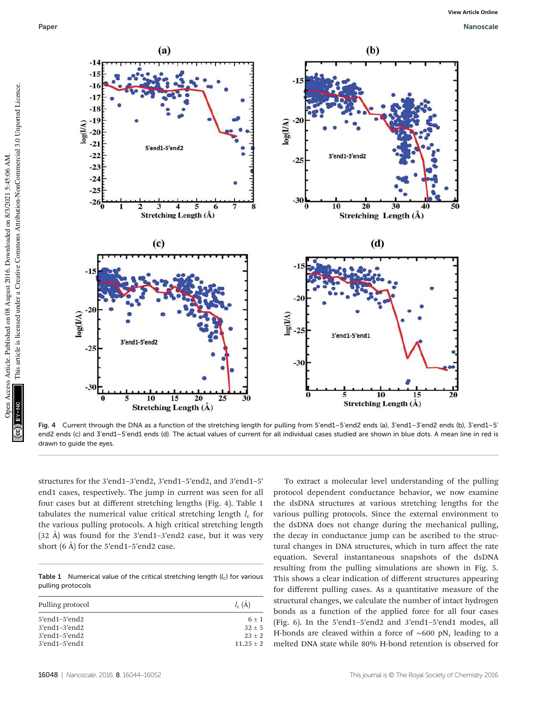

Fig. 4 Current through the DNA as a function of the stretching length for pulling from 5'end1–5'end2 ends (a), 3'end1–3'end2 ends (b), 3'end1–5' end2 ends (c) and 3'end1–5'end1 ends (d). The actual values of current for all individual cases studied are shown in blue dots. A mean line in red is drawn to guide the eyes.

structures for the 3′end1–3′end2, 3′end1–5′end2, and 3′end1–5′ end1 cases, respectively. The jump in current was seen for all four cases but at different stretching lengths (Fig. 4). Table 1 tabulates the numerical value critical stretching length  $l_{\rm c}$  for the various pulling protocols. A high critical stretching length (32 Å) was found for the 3′end1–3′end2 case, but it was very short (6 Å) for the 5′end1–5′end2 case.

Table 1 Numerical value of the critical stretching length  $(l_c)$  for various pulling protocols

| Pulling protocol        | $l_c(\AA)$    |
|-------------------------|---------------|
| 5'end1-5'end2           | $6 \pm 1$     |
| $3'$ end $1-3'$ end $2$ | $32 \pm 5$    |
| 3'end1-5'end2           | $23 \pm 2$    |
| $3'$ end $1-5'$ end $1$ | $11.25 \pm 2$ |

To extract a molecular level understanding of the pulling protocol dependent conductance behavior, we now examine the dsDNA structures at various stretching lengths for the various pulling protocols. Since the external environment to the dsDNA does not change during the mechanical pulling, the decay in conductance jump can be ascribed to the structural changes in DNA structures, which in turn affect the rate equation. Several instantaneous snapshots of the dsDNA resulting from the pulling simulations are shown in Fig. 5. This shows a clear indication of different structures appearing for different pulling cases. As a quantitative measure of the structural changes, we calculate the number of intact hydrogen bonds as a function of the applied force for all four cases (Fig. 6). In the 5′end1–5′end2 and 3′end1–5′end1 modes, all H-bonds are cleaved within a force of ∼600 pN, leading to a melted DNA state while 80% H-bond retention is observed for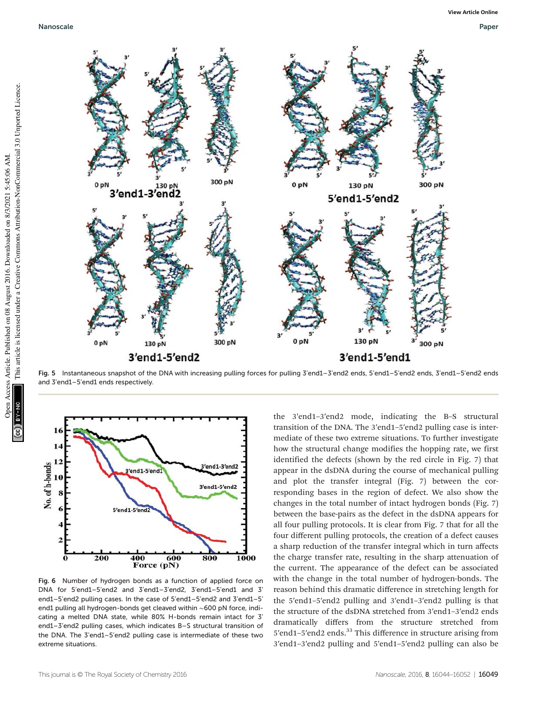

Fig. 5 Instantaneous snapshot of the DNA with increasing pulling forces for pulling 3'end1-3'end2 ends, 5'end1-5'end2 ends, 3'end1-5'end2 ends and 3'end1–5'end1 ends respectively.



Fig. 6 Number of hydrogen bonds as a function of applied force on DNA for 5'end1–5'end2 and 3'end1–3'end2, 3'end1–5'end1 and 3' end1–5'end2 pulling cases. In the case of 5'end1–5'end2 and 3'end1–5' end1 pulling all hydrogen-bonds get cleaved within ∼600 pN force, indicating a melted DNA state, while 80% H-bonds remain intact for 3' end1–3'end2 pulling cases, which indicates B–S structural transition of the DNA. The 3'end1–5'end2 pulling case is intermediate of these two extreme situations.

the 3′end1–3′end2 mode, indicating the B–S structural transition of the DNA. The 3′end1–5′end2 pulling case is intermediate of these two extreme situations. To further investigate how the structural change modifies the hopping rate, we first identified the defects (shown by the red circle in Fig. 7) that appear in the dsDNA during the course of mechanical pulling and plot the transfer integral (Fig. 7) between the corresponding bases in the region of defect. We also show the changes in the total number of intact hydrogen bonds (Fig. 7) between the base-pairs as the defect in the dsDNA appears for all four pulling protocols. It is clear from Fig. 7 that for all the four different pulling protocols, the creation of a defect causes a sharp reduction of the transfer integral which in turn affects the charge transfer rate, resulting in the sharp attenuation of the current. The appearance of the defect can be associated with the change in the total number of hydrogen-bonds. The reason behind this dramatic difference in stretching length for the 5′end1–5′end2 pulling and 3′end1–3′end2 pulling is that the structure of the dsDNA stretched from 3′end1–3′end2 ends dramatically differs from the structure stretched from 5'end1-5'end2 ends.<sup>33</sup> This difference in structure arising from 3′end1–3′end2 pulling and 5′end1–5′end2 pulling can also be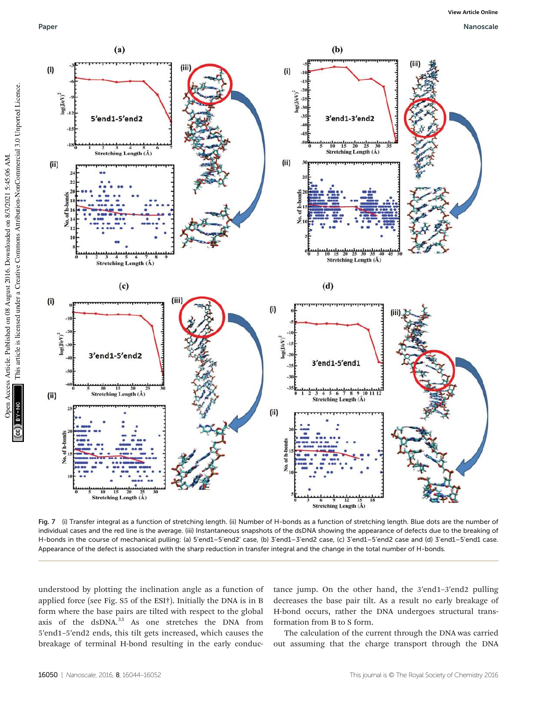Open Access Article. Published on 08 August 2016. Downloaded on 8/3/2021 5:45:06 AM.

BY-NO

Open Access Article. Published on 08 August 2016. Downloaded on 8/3/2021 5:45:06 AM.

This article is licensed under a Creative Commons Attribution-NonCommercial 3.0 Unported Licence.

This article is licensed under a Creative Commons Attribution-NonCommercial 3.0 Unported Licence.



Fig. 7 (i) Transfer integral as a function of stretching length. (ii) Number of H-bonds as a function of stretching length. Blue dots are the number of individual cases and the red line is the average. (iii) Instantaneous snapshots of the dsDNA showing the appearance of defects due to the breaking of H-bonds in the course of mechanical pulling: (a) 5'end1–5'end2' case, (b) 3'end1–3'end2 case, (c) 3'end1–5'end2 case and (d) 3'end1–5'end1 case. Appearance of the defect is associated with the sharp reduction in transfer integral and the change in the total number of H-bonds.

understood by plotting the inclination angle as a function of applied force (see Fig. S5 of the ESI†). Initially the DNA is in B form where the base pairs are tilted with respect to the global axis of the dsDNA.<sup>33</sup> As one stretches the DNA from 5′end1–5′end2 ends, this tilt gets increased, which causes the breakage of terminal H-bond resulting in the early conductance jump. On the other hand, the 3′end1–3′end2 pulling decreases the base pair tilt. As a result no early breakage of H-bond occurs, rather the DNA undergoes structural transformation from B to S form.

The calculation of the current through the DNA was carried out assuming that the charge transport through the DNA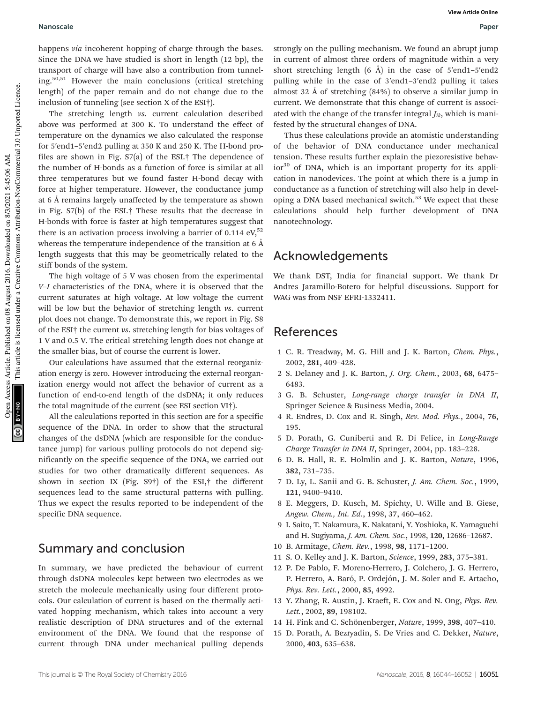happens *via* incoherent hopping of charge through the bases. Since the DNA we have studied is short in length (12 bp), the transport of charge will have also a contribution from tunneling.50,51 However the main conclusions (critical stretching length) of the paper remain and do not change due to the inclusion of tunneling (see section X of the ESI†).

The stretching length *vs*. current calculation described above was performed at 300 K. To understand the effect of temperature on the dynamics we also calculated the response for 5′end1–5′end2 pulling at 350 K and 250 K. The H-bond profiles are shown in Fig. S7(a) of the ESI.† The dependence of the number of H-bonds as a function of force is similar at all three temperatures but we found faster H-bond decay with force at higher temperature. However, the conductance jump at 6 Å remains largely unaffected by the temperature as shown in Fig. S7(b) of the ESI.† These results that the decrease in H-bonds with force is faster at high temperatures suggest that there is an activation process involving a barrier of 0.114  $eV$ ,<sup>52</sup> whereas the temperature independence of the transition at 6 Å length suggests that this may be geometrically related to the stiff bonds of the system.

The high voltage of 5 V was chosen from the experimental *V*–*I* characteristics of the DNA, where it is observed that the current saturates at high voltage. At low voltage the current will be low but the behavior of stretching length *vs*. current plot does not change. To demonstrate this, we report in Fig. S8 of the ESI† the current *vs*. stretching length for bias voltages of 1 V and 0.5 V. The critical stretching length does not change at the smaller bias, but of course the current is lower.

Our calculations have assumed that the external reorganization energy is zero. However introducing the external reorganization energy would not affect the behavior of current as a function of end-to-end length of the dsDNA; it only reduces the total magnitude of the current (see ESI section VI†).

All the calculations reported in this section are for a specific sequence of the DNA. In order to show that the structural changes of the dsDNA (which are responsible for the conductance jump) for various pulling protocols do not depend significantly on the specific sequence of the DNA, we carried out studies for two other dramatically different sequences. As shown in section IX (Fig. S9†) of the ESI,† the different sequences lead to the same structural patterns with pulling. Thus we expect the results reported to be independent of the specific DNA sequence.

#### Summary and conclusion

In summary, we have predicted the behaviour of current through dsDNA molecules kept between two electrodes as we stretch the molecule mechanically using four different protocols. Our calculation of current is based on the thermally activated hopping mechanism, which takes into account a very realistic description of DNA structures and of the external environment of the DNA. We found that the response of current through DNA under mechanical pulling depends

strongly on the pulling mechanism. We found an abrupt jump in current of almost three orders of magnitude within a very short stretching length (6 Å) in the case of 5′end1–5′end2 pulling while in the case of 3′end1–3′end2 pulling it takes almost 32 Å of stretching (84%) to observe a similar jump in current. We demonstrate that this change of current is associated with the change of the transfer integral  $J_{ik}$ , which is manifested by the structural changes of DNA.

Thus these calculations provide an atomistic understanding of the behavior of DNA conductance under mechanical tension. These results further explain the piezoresistive behav $ior<sup>30</sup>$  of DNA, which is an important property for its application in nanodevices. The point at which there is a jump in conductance as a function of stretching will also help in developing a DNA based mechanical switch. $53$  We expect that these calculations should help further development of DNA nanotechnology.

### Acknowledgements

We thank DST, India for financial support. We thank Dr Andres Jaramillo-Botero for helpful discussions. Support for WAG was from NSF EFRI-1332411.

#### References

- 1 C. R. Treadway, M. G. Hill and J. K. Barton, *Chem. Phys.*, 2002, 281, 409–428.
- 2 S. Delaney and J. K. Barton, *J. Org. Chem.*, 2003, 68, 6475– 6483.
- 3 G. B. Schuster, *Long-range charge transfer in DNA II*, Springer Science & Business Media, 2004.
- 4 R. Endres, D. Cox and R. Singh, *Rev. Mod. Phys.*, 2004, 76, 195.
- 5 D. Porath, G. Cuniberti and R. Di Felice, in *Long-Range Charge Transfer in DNA II*, Springer, 2004, pp. 183–228.
- 6 D. B. Hall, R. E. Holmlin and J. K. Barton, *Nature*, 1996, 382, 731–735.
- 7 D. Ly, L. Sanii and G. B. Schuster, *J. Am. Chem. Soc.*, 1999, 121, 9400–9410.
- 8 E. Meggers, D. Kusch, M. Spichty, U. Wille and B. Giese, *Angew. Chem., Int. Ed.*, 1998, 37, 460–462.
- 9 I. Saito, T. Nakamura, K. Nakatani, Y. Yoshioka, K. Yamaguchi and H. Sugiyama, *J. Am. Chem. Soc.*, 1998, 120, 12686–12687.
- 10 B. Armitage, *Chem. Rev.*, 1998, 98, 1171–1200.
- 11 S. O. Kelley and J. K. Barton, *Science*, 1999, 283, 375–381.
- 12 P. De Pablo, F. Moreno-Herrero, J. Colchero, J. G. Herrero, P. Herrero, A. Baró, P. Ordejón, J. M. Soler and E. Artacho, *Phys. Rev. Lett.*, 2000, 85, 4992.
- 13 Y. Zhang, R. Austin, J. Kraeft, E. Cox and N. Ong, *Phys. Rev. Lett.*, 2002, 89, 198102.
- 14 H. Fink and C. Schönenberger, *Nature*, 1999, 398, 407–410.
- 15 D. Porath, A. Bezryadin, S. De Vries and C. Dekker, *Nature*, 2000, 403, 635–638.